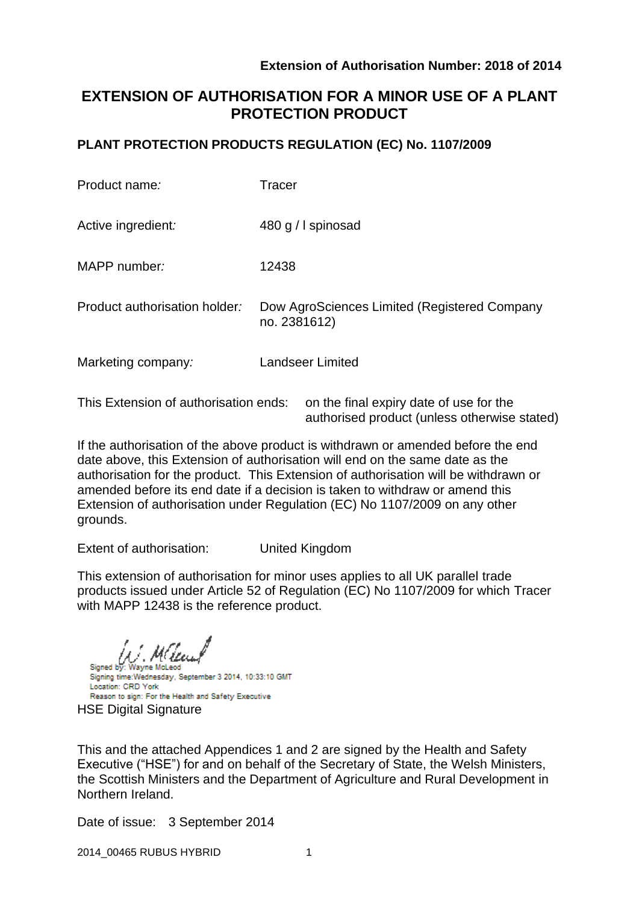# **EXTENSION OF AUTHORISATION FOR A MINOR USE OF A PLANT PROTECTION PRODUCT**

# **PLANT PROTECTION PRODUCTS REGULATION (EC) No. 1107/2009**

| Product name:                 | Tracer                                                       |
|-------------------------------|--------------------------------------------------------------|
| Active ingredient:            | 480 g / I spinosad                                           |
| MAPP number:                  | 12438                                                        |
| Product authorisation holder: | Dow AgroSciences Limited (Registered Company<br>no. 2381612) |
| Marketing company:            | <b>Landseer Limited</b>                                      |
|                               |                                                              |

This Extension of authorisation ends: on the final expiry date of use for the authorised product (unless otherwise stated)

If the authorisation of the above product is withdrawn or amended before the end date above, this Extension of authorisation will end on the same date as the authorisation for the product. This Extension of authorisation will be withdrawn or amended before its end date if a decision is taken to withdraw or amend this Extension of authorisation under Regulation (EC) No 1107/2009 on any other grounds.

Extent of authorisation: United Kingdom

This extension of authorisation for minor uses applies to all UK parallel trade products issued under Article 52 of Regulation (EC) No 1107/2009 for which Tracer with MAPP 12438 is the reference product.

Wayne McLeod

Signed by: Signing time: Wednesday, September 3 2014, 10:33:10 GMT Location: CRD York Reason to sign: For the Health and Safety Executive HSE Digital Signature

This and the attached Appendices 1 and 2 are signed by the Health and Safety Executive ("HSE") for and on behalf of the Secretary of State, the Welsh Ministers, the Scottish Ministers and the Department of Agriculture and Rural Development in Northern Ireland.

Date of issue: 3 September 2014

2014\_00465 RUBUS HYBRID 1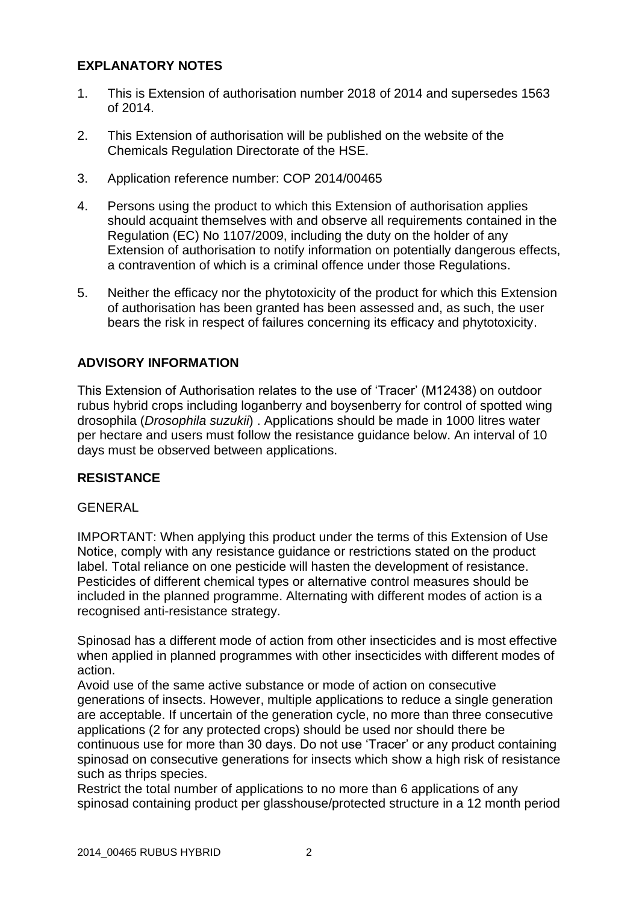# **EXPLANATORY NOTES**

- 1. This is Extension of authorisation number 2018 of 2014 and supersedes 1563 of 2014.
- 2. This Extension of authorisation will be published on the website of the Chemicals Regulation Directorate of the HSE.
- 3. Application reference number: COP 2014/00465
- 4. Persons using the product to which this Extension of authorisation applies should acquaint themselves with and observe all requirements contained in the Regulation (EC) No 1107/2009, including the duty on the holder of any Extension of authorisation to notify information on potentially dangerous effects, a contravention of which is a criminal offence under those Regulations.
- 5. Neither the efficacy nor the phytotoxicity of the product for which this Extension of authorisation has been granted has been assessed and, as such, the user bears the risk in respect of failures concerning its efficacy and phytotoxicity.

## **ADVISORY INFORMATION**

This Extension of Authorisation relates to the use of 'Tracer' (M12438) on outdoor rubus hybrid crops including loganberry and boysenberry for control of spotted wing drosophila (*Drosophila suzukii*) . Applications should be made in 1000 litres water per hectare and users must follow the resistance guidance below. An interval of 10 days must be observed between applications.

# **RESISTANCE**

### GENERAL

IMPORTANT: When applying this product under the terms of this Extension of Use Notice, comply with any resistance guidance or restrictions stated on the product label. Total reliance on one pesticide will hasten the development of resistance. Pesticides of different chemical types or alternative control measures should be included in the planned programme. Alternating with different modes of action is a recognised anti-resistance strategy.

Spinosad has a different mode of action from other insecticides and is most effective when applied in planned programmes with other insecticides with different modes of action.

Avoid use of the same active substance or mode of action on consecutive generations of insects. However, multiple applications to reduce a single generation are acceptable. If uncertain of the generation cycle, no more than three consecutive applications (2 for any protected crops) should be used nor should there be continuous use for more than 30 days. Do not use 'Tracer' or any product containing spinosad on consecutive generations for insects which show a high risk of resistance such as thrips species.

Restrict the total number of applications to no more than 6 applications of any spinosad containing product per glasshouse/protected structure in a 12 month period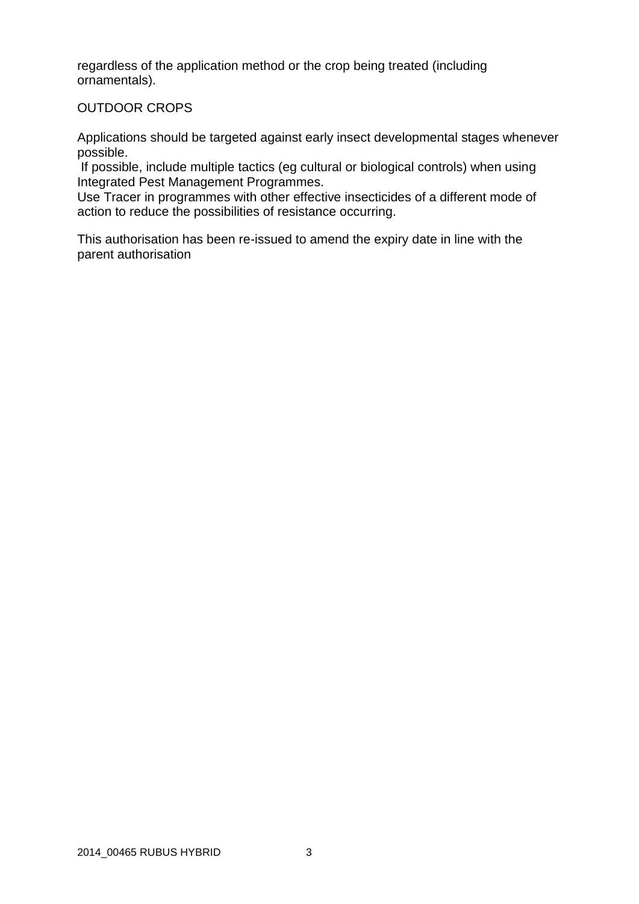regardless of the application method or the crop being treated (including ornamentals).

#### OUTDOOR CROPS

Applications should be targeted against early insect developmental stages whenever possible.

If possible, include multiple tactics (eg cultural or biological controls) when using Integrated Pest Management Programmes.

Use Tracer in programmes with other effective insecticides of a different mode of action to reduce the possibilities of resistance occurring.

This authorisation has been re-issued to amend the expiry date in line with the parent authorisation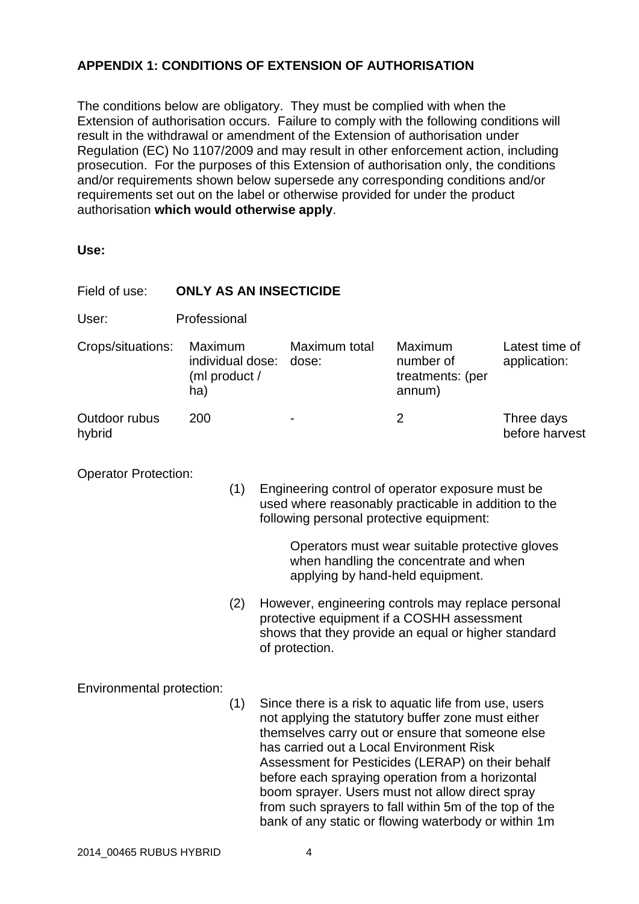# **APPENDIX 1: CONDITIONS OF EXTENSION OF AUTHORISATION**

The conditions below are obligatory. They must be complied with when the Extension of authorisation occurs. Failure to comply with the following conditions will result in the withdrawal or amendment of the Extension of authorisation under Regulation (EC) No 1107/2009 and may result in other enforcement action, including prosecution. For the purposes of this Extension of authorisation only, the conditions and/or requirements shown below supersede any corresponding conditions and/or requirements set out on the label or otherwise provided for under the product authorisation **which would otherwise apply**.

**Use:**

| Field of use:               | <b>ONLY AS AN INSECTICIDE</b>                                                                                                |     |                                                                                                                                                      |                                                                                                                                                                                                                                                                                                                                                                                                                                                                                           |                                                    |                                |  |  |
|-----------------------------|------------------------------------------------------------------------------------------------------------------------------|-----|------------------------------------------------------------------------------------------------------------------------------------------------------|-------------------------------------------------------------------------------------------------------------------------------------------------------------------------------------------------------------------------------------------------------------------------------------------------------------------------------------------------------------------------------------------------------------------------------------------------------------------------------------------|----------------------------------------------------|--------------------------------|--|--|
| User:                       | Professional                                                                                                                 |     |                                                                                                                                                      |                                                                                                                                                                                                                                                                                                                                                                                                                                                                                           |                                                    |                                |  |  |
| Crops/situations:           | Maximum<br>individual dose:<br>(ml product /<br>ha)                                                                          |     |                                                                                                                                                      | Maximum total<br>dose:                                                                                                                                                                                                                                                                                                                                                                                                                                                                    | Maximum<br>number of<br>treatments: (per<br>annum) | Latest time of<br>application: |  |  |
| Outdoor rubus<br>hybrid     | 200                                                                                                                          |     |                                                                                                                                                      |                                                                                                                                                                                                                                                                                                                                                                                                                                                                                           | $\overline{2}$                                     | Three days<br>before harvest   |  |  |
| <b>Operator Protection:</b> |                                                                                                                              | (1) | Engineering control of operator exposure must be<br>used where reasonably practicable in addition to the<br>following personal protective equipment: |                                                                                                                                                                                                                                                                                                                                                                                                                                                                                           |                                                    |                                |  |  |
|                             | Operators must wear suitable protective gloves<br>when handling the concentrate and when<br>applying by hand-held equipment. |     |                                                                                                                                                      |                                                                                                                                                                                                                                                                                                                                                                                                                                                                                           |                                                    |                                |  |  |
|                             |                                                                                                                              | (2) |                                                                                                                                                      | However, engineering controls may replace personal<br>protective equipment if a COSHH assessment<br>shows that they provide an equal or higher standard<br>of protection.                                                                                                                                                                                                                                                                                                                 |                                                    |                                |  |  |
| Environmental protection:   |                                                                                                                              | (1) |                                                                                                                                                      | Since there is a risk to aquatic life from use, users<br>not applying the statutory buffer zone must either<br>themselves carry out or ensure that someone else<br>has carried out a Local Environment Risk<br>Assessment for Pesticides (LERAP) on their behalf<br>before each spraying operation from a horizontal<br>boom sprayer. Users must not allow direct spray<br>from such sprayers to fall within 5m of the top of the<br>bank of any static or flowing waterbody or within 1m |                                                    |                                |  |  |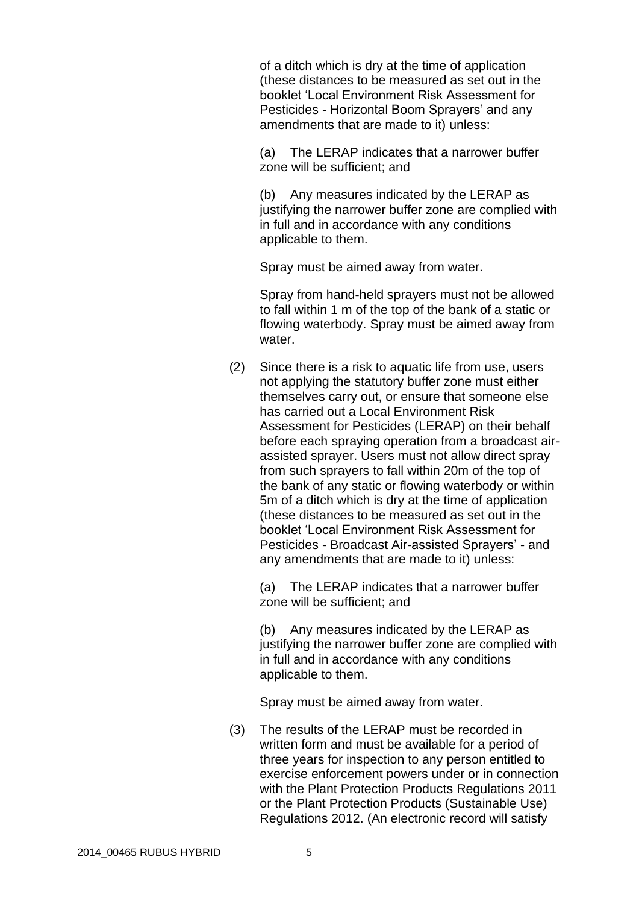of a ditch which is dry at the time of application (these distances to be measured as set out in the booklet 'Local Environment Risk Assessment for Pesticides - Horizontal Boom Sprayers' and any amendments that are made to it) unless:

(a) The LERAP indicates that a narrower buffer zone will be sufficient; and

(b) Any measures indicated by the LERAP as justifying the narrower buffer zone are complied with in full and in accordance with any conditions applicable to them.

Spray must be aimed away from water.

Spray from hand-held sprayers must not be allowed to fall within 1 m of the top of the bank of a static or flowing waterbody. Spray must be aimed away from water.

(2) Since there is a risk to aquatic life from use, users not applying the statutory buffer zone must either themselves carry out, or ensure that someone else has carried out a Local Environment Risk Assessment for Pesticides (LERAP) on their behalf before each spraying operation from a broadcast airassisted sprayer. Users must not allow direct spray from such sprayers to fall within 20m of the top of the bank of any static or flowing waterbody or within 5m of a ditch which is dry at the time of application (these distances to be measured as set out in the booklet 'Local Environment Risk Assessment for Pesticides - Broadcast Air-assisted Sprayers' - and any amendments that are made to it) unless:

(a) The LERAP indicates that a narrower buffer zone will be sufficient; and

(b) Any measures indicated by the LERAP as justifying the narrower buffer zone are complied with in full and in accordance with any conditions applicable to them.

Spray must be aimed away from water.

(3) The results of the LERAP must be recorded in written form and must be available for a period of three years for inspection to any person entitled to exercise enforcement powers under or in connection with the Plant Protection Products Regulations 2011 or the Plant Protection Products (Sustainable Use) Regulations 2012. (An electronic record will satisfy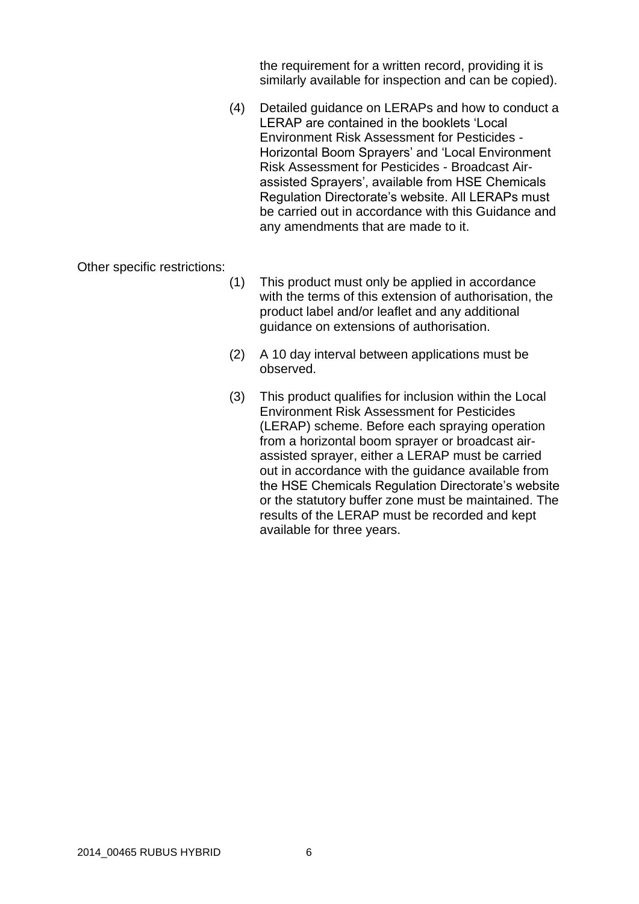the requirement for a written record, providing it is similarly available for inspection and can be copied).

(4) Detailed guidance on LERAPs and how to conduct a LERAP are contained in the booklets 'Local Environment Risk Assessment for Pesticides - Horizontal Boom Sprayers' and 'Local Environment Risk Assessment for Pesticides - Broadcast Airassisted Sprayers', available from HSE Chemicals Regulation Directorate's website. All LERAPs must be carried out in accordance with this Guidance and any amendments that are made to it.

Other specific restrictions:

- (1) This product must only be applied in accordance with the terms of this extension of authorisation, the product label and/or leaflet and any additional guidance on extensions of authorisation.
- (2) A 10 day interval between applications must be observed.
- (3) This product qualifies for inclusion within the Local Environment Risk Assessment for Pesticides (LERAP) scheme. Before each spraying operation from a horizontal boom sprayer or broadcast airassisted sprayer, either a LERAP must be carried out in accordance with the guidance available from the HSE Chemicals Regulation Directorate's website or the statutory buffer zone must be maintained. The results of the LERAP must be recorded and kept available for three years.